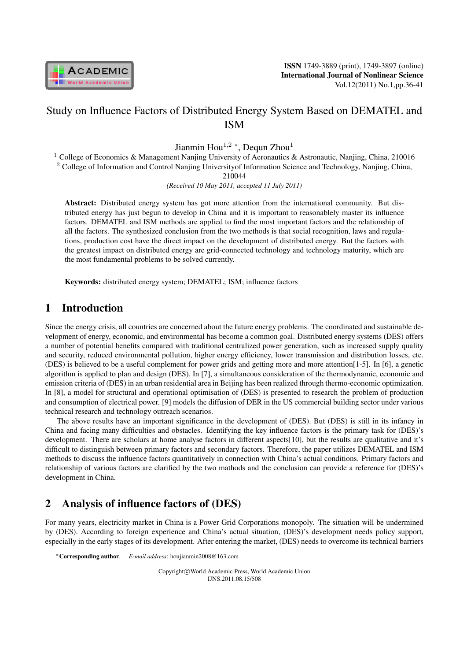

# Study on Influence Factors of Distributed Energy System Based on DEMATEL and ISM

Jianmin Hou<sup>1,2</sup> \*, Dequn Zhou<sup>1</sup>

<sup>1</sup> College of Economics & Management Nanjing University of Aeronautics & Astronautic, Nanjing, China, 210016 <sup>2</sup> College of Information and Control Nanjing Universityof Information Science and Technology, Nanjing, China,

210044

*(Received 10 May 2011, accepted 11 July 2011)*

Abstract: Distributed energy system has got more attention from the international community. But distributed energy has just begun to develop in China and it is important to reasonablely master its influence factors. DEMATEL and ISM methods are applied to find the most important factors and the relationship of all the factors. The synthesized conclusion from the two methods is that social recognition, laws and regulations, production cost have the direct impact on the development of distributed energy. But the factors with the greatest impact on distributed energy are grid-connected technology and technology maturity, which are the most fundamental problems to be solved currently.

Keywords: distributed energy system; DEMATEL; ISM; influence factors

# 1 Introduction

Since the energy crisis, all countries are concerned about the future energy problems. The coordinated and sustainable development of energy, economic, and environmental has become a common goal. Distributed energy systems (DES) offers a number of potential benefits compared with traditional centralized power generation, such as increased supply quality and security, reduced environmental pollution, higher energy efficiency, lower transmission and distribution losses, etc. (DES) is believed to be a useful complement for power grids and getting more and more attention[1-5]. In [6], a genetic algorithm is applied to plan and design (DES). In [7], a simultaneous consideration of the thermodynamic, economic and emission criteria of (DES) in an urban residential area in Beijing has been realized through thermo-economic optimization. In [8], a model for structural and operational optimisation of (DES) is presented to research the problem of production and consumption of electrical power. [9] models the diffusion of DER in the US commercial building sector under various technical research and technology outreach scenarios.

The above results have an important significance in the development of (DES). But (DES) is still in its infancy in China and facing many difficulties and obstacles. Identifying the key influence factors is the primary task for (DES)'s development. There are scholars at home analyse factors in different aspects[10], but the results are qualitative and it's difficult to distinguish between primary factors and secondary factors. Therefore, the paper utilizes DEMATEL and ISM methods to discuss the influence factors quantitatively in connection with China's actual conditions. Primary factors and relationship of various factors are clarified by the two mathods and the conclusion can provide a reference for (DES)'s development in China.

# 2 Analysis of influence factors of (DES)

For many years, electricity market in China is a Power Grid Corporations monopoly. The situation will be undermined by (DES). According to foreign experience and China's actual situation, (DES)'s development needs policy support, especially in the early stages of its development. After entering the market, (DES) needs to overcome its technical barriers

Copyright*⃝*c World Academic Press, World Academic Union IJNS.2011.08.15/508

*<sup>∗</sup>*Corresponding author. *E-mail address*: houjianmin2008@163.com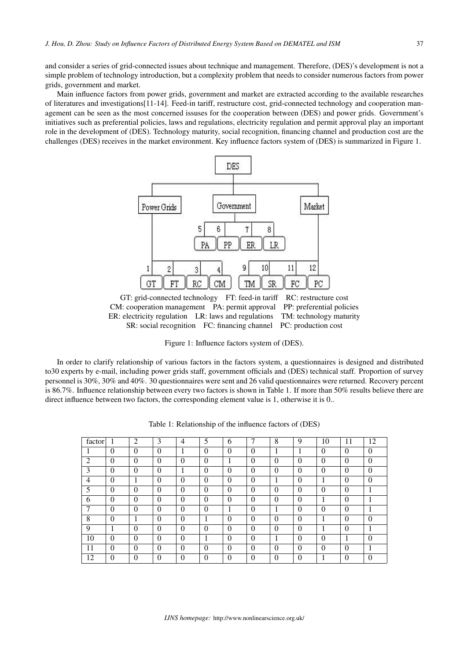and consider a series of grid-connected issues about technique and management. Therefore, (DES)'s development is not a simple problem of technology introduction, but a complexity problem that needs to consider numerous factors from power grids, government and market.

Main influence factors from power grids, government and market are extracted according to the available researches of literatures and investigations[11-14]. Feed-in tariff, restructure cost, grid-connected technology and cooperation management can be seen as the most concerned issuses for the cooperation between (DES) and power grids. Government's initiatives such as preferential policies, laws and regulations, electricity regulation and permit approval play an important role in the development of (DES). Technology maturity, social recognition, financing channel and production cost are the challenges (DES) receives in the market environment. Key influence factors system of (DES) is summarized in Figure 1.



GT: grid-connected technology FT: feed-in tariff RC: restructure cost CM: cooperation management PA: permit approval PP: preferential policies ER: electricity regulation LR: laws and regulations TM: technology maturity SR: social recognition FC: financing channel PC: production cost

Figure 1: Influence factors system of (DES).

In order to clarify relationship of various factors in the factors system, a questionnaires is designed and distributed to30 experts by e-mail, including power grids staff, government officials and (DES) technical staff. Proportion of survey personnel is 30%, 30% and 40%. 30 questionnaires were sent and 26 valid questionnaires were returned. Recovery percent is 86.7%. Influence relationship between every two factors is shown in Table 1. If more than 50% results believe there are direct influence between two factors, the corresponding element value is 1, otherwise it is 0..

| factor         |          | $\overline{2}$ | 3        | $\overline{4}$ | 5        | 6        | ⇁        | 8            | 9        | 10       | 11       | 12       |
|----------------|----------|----------------|----------|----------------|----------|----------|----------|--------------|----------|----------|----------|----------|
|                | 0        | $\theta$       | $\theta$ |                | $\theta$ | $\theta$ | $\theta$ | 1<br>ш       | н        | $\theta$ | $\theta$ | $\theta$ |
| 2              | $\theta$ | $\theta$       | $\theta$ | $\theta$       | $\theta$ | 1        | $\theta$ | 0            | $\Omega$ | $\theta$ | $\theta$ | $\theta$ |
| 3              | 0        | $\Omega$       | $\theta$ |                | $\theta$ | 0        | $\theta$ | 0            | 0        | 0        | $\Omega$ | $\theta$ |
| $\overline{4}$ | 0        |                | $\Omega$ | $\Omega$       | $\Omega$ | 0        | $\Omega$ |              | $\Omega$ |          | $\Omega$ | $\Omega$ |
| 5              | $\theta$ | $\theta$       | $\theta$ | $\theta$       | $\Omega$ | $\theta$ | $\theta$ | $\Omega$     | $\Omega$ | 0        | $\theta$ |          |
| 6              | $\Omega$ | $\theta$       | $\theta$ | $\theta$       | $\theta$ | $\theta$ | $\Omega$ | 0            | $\Omega$ |          | $\Omega$ |          |
| 7              | 0        | $\theta$       | $\theta$ | $\theta$       | $\theta$ |          | $\theta$ | п            | $\Omega$ | 0        | $\theta$ |          |
| 8              | $\theta$ |                | $\theta$ | $\theta$       |          | $\theta$ | $\theta$ | 0            | $\theta$ |          | $\Omega$ | $\theta$ |
| 9              |          | $\theta$       | 0        | $\Omega$       | $\theta$ | 0        | $\theta$ | $\mathbf{0}$ | 0        |          | $\Omega$ |          |
| 10             | 0        | $\Omega$       | 0        | $\Omega$       |          | $\Omega$ | $\theta$ |              | $\Omega$ | 0        |          | 0        |
| 11             | 0        | $\Omega$       | $\theta$ | $\theta$       | $\theta$ | $\theta$ | $\Omega$ | 0            | $\Omega$ | 0        | $\Omega$ |          |
| 12             | 0        | $\Omega$       | 0        | $\Omega$       | $\Omega$ | $\theta$ |          | 0            | $\Omega$ |          | $\Omega$ | $\Omega$ |

Table 1: Relationship of the influence factors of (DES)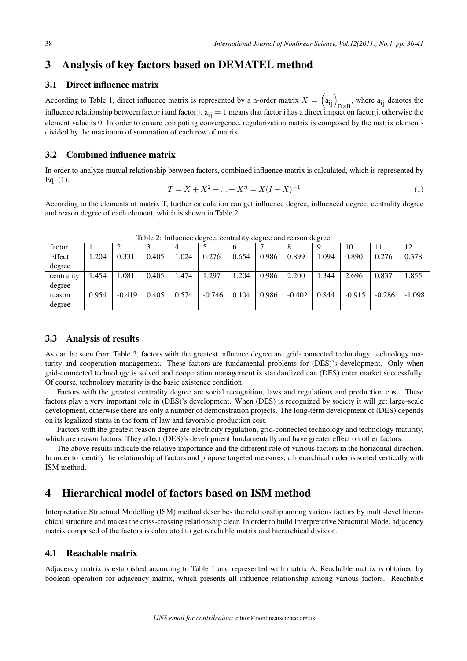## 3 Analysis of key factors based on DEMATEL method

#### 3.1 Direct influence matrix

According to Table 1, direct influence matrix is represented by a n-order matrix  $X = \left( a_{ij} \right)_{n \times n}$ , where  $a_{ij}$  denotes the influence relationship between factor i and factor j.  $a_{ij} = 1$  means that factor i has a direct impact on factor j, otherwise the element value is 0. In order to ensure computing convergence, regularization matrix is composed by the matrix elements divided by the maximum of summation of each row of matrix.

### 3.2 Combined influence matrix

In order to analyze mutual relationship between factors, combined influence matrix is calculated, which is represented by Eq. (1).

$$
T = X + X^2 + \dots + X^n = X(I - X)^{-1}
$$
\n<sup>(1)</sup>

According to the elements of matrix T, further calculation can get influence degree, influenced degree, centrality degree and reason degree of each element, which is shown in Table 2.

| -------<br>----- |       |          |       |                |          |       |       |          |       |          |          |          |
|------------------|-------|----------|-------|----------------|----------|-------|-------|----------|-------|----------|----------|----------|
| factor           |       |          |       | $\overline{4}$ |          | O     |       |          |       | 10       |          | 12       |
| Effect           | .204  | 0.331    | 0.405 | 1.024          | 0.276    | 0.654 | 0.986 | 0.899    | .094  | 0.890    | 0.276    | 0.378    |
| degree           |       |          |       |                |          |       |       |          |       |          |          |          |
| centrality       | 1.454 | .081     | 0.405 | 1.474          | .297     | .204  | 0.986 | 2.200    | 1.344 | 2.696    | 0.837    | 1.855    |
| degree           |       |          |       |                |          |       |       |          |       |          |          |          |
| reason           | 0.954 | $-0.419$ | 0.405 | 0.574          | $-0.746$ | 0.104 | 0.986 | $-0.402$ | 0.844 | $-0.915$ | $-0.286$ | $-1.098$ |
| degree           |       |          |       |                |          |       |       |          |       |          |          |          |

Table 2: Influence degree, centrality degree and reason degree.

#### 3.3 Analysis of results

As can be seen from Table 2, factors with the greatest influence degree are grid-connected technology, technology maturity and cooperation management. These factors are fundamental problems for (DES)'s development. Only when grid-connected technology is solved and cooperation management is standardized can (DES) enter market successfully. Of course, technology maturity is the basic existence condition.

Factors with the greatest centrality degree are social recognition, laws and regulations and production cost. These factors play a very important role in (DES)'s development. When (DES) is recognized by society it will get large-scale development, otherwise there are only a number of demonstration projects. The long-term development of (DES) depends on its legalized status in the form of law and favorable production cost.

Factors with the greatest reason degree are electricity regulation, grid-connected technology and technology maturity, which are reason factors. They affect (DES)'s development fundamentally and have greater effect on other factors.

The above results indicate the relative importance and the different role of various factors in the horizontal direction. In order to identify the relationship of factors and propose targeted measures, a hierarchical order is sorted vertically with ISM method.

## 4 Hierarchical model of factors based on ISM method

Interpretative Structural Modelling (ISM) method describes the relationship among various factors by multi-level hierarchical structure and makes the criss-crossing relationship clear. In order to build Interpretative Structural Mode, adjacency matrix composed of the factors is calculated to get reachable matrix and hierarchical division.

#### 4.1 Reachable matrix

Adjacency matrix is established according to Table 1 and represented with matrix A. Reachable matrix is obtained by boolean operation for adjacency matrix, which presents all influence relationship among various factors. Reachable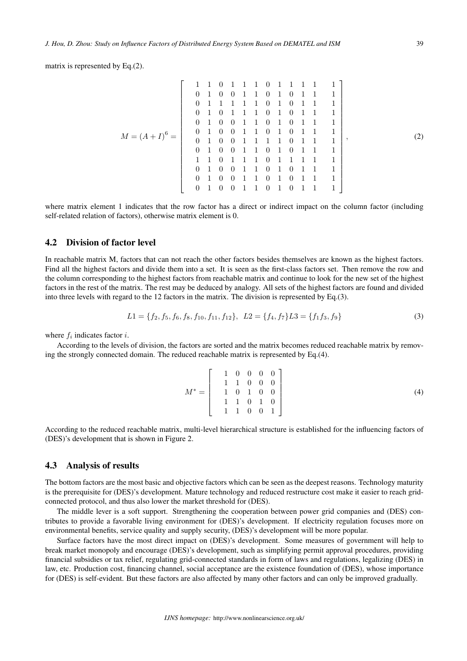matrix is represented by Eq.(2).

$$
M = (A + I)^6 = \left[\begin{array}{rrrrrrrr} 1 & 1 & 0 & 1 & 1 & 1 & 0 & 1 & 1 & 1 & 1 & 1 & 1 \\ 0 & 1 & 0 & 0 & 1 & 1 & 0 & 1 & 0 & 1 & 1 & 1 & 1 \\ 0 & 1 & 1 & 1 & 1 & 0 & 1 & 0 & 1 & 1 & 1 & 1 \\ 0 & 1 & 0 & 1 & 1 & 1 & 0 & 1 & 0 & 1 & 1 & 1 & 1 \\ 0 & 1 & 0 & 0 & 1 & 1 & 0 & 1 & 0 & 1 & 1 & 1 & 1 \\ 0 & 1 & 0 & 0 & 1 & 1 & 0 & 1 & 0 & 1 & 1 & 1 & 1 \\ 0 & 1 & 0 & 0 & 1 & 1 & 0 & 1 & 0 & 1 & 1 & 1 & 1 \\ 1 & 1 & 0 & 1 & 1 & 1 & 0 & 1 & 0 & 1 & 1 & 1 & 1 \\ 0 & 1 & 0 & 0 & 1 & 1 & 0 & 1 & 0 & 1 & 1 & 1 & 1 \\ 0 & 1 & 0 & 0 & 1 & 1 & 0 & 1 & 0 & 1 & 1 & 1 & 1 \\ 0 & 1 & 0 & 0 & 1 & 1 & 0 & 1 & 0 & 1 & 1 & 1 \end{array}\right],
$$
 (2)

where matrix element 1 indicates that the row factor has a direct or indirect impact on the column factor (including self-related relation of factors), otherwise matrix element is 0.

#### 4.2 Division of factor level

In reachable matrix M, factors that can not reach the other factors besides themselves are known as the highest factors. Find all the highest factors and divide them into a set. It is seen as the first-class factors set. Then remove the row and the column corresponding to the highest factors from reachable matrix and continue to look for the new set of the highest factors in the rest of the matrix. The rest may be deduced by analogy. All sets of the highest factors are found and divided into three levels with regard to the 12 factors in the matrix. The division is represented by Eq.(3).

$$
L1 = \{f_2, f_5, f_6, f_8, f_{10}, f_{11}, f_{12}\}, L2 = \{f_4, f_7\}L3 = \{f_1f_3, f_9\}
$$
\n
$$
(3)
$$

where  $f_i$  indicates factor i.

According to the levels of division, the factors are sorted and the matrix becomes reduced reachable matrix by removing the strongly connected domain. The reduced reachable matrix is represented by Eq.(4).

$$
M^* = \left[ \begin{array}{rrrrr} 1 & 0 & 0 & 0 & 0 \\ 1 & 1 & 0 & 0 & 0 \\ 1 & 0 & 1 & 0 & 0 \\ 1 & 1 & 0 & 1 & 0 \\ 1 & 1 & 0 & 0 & 1 \end{array} \right] \tag{4}
$$

According to the reduced reachable matrix, multi-level hierarchical structure is established for the influencing factors of (DES)'s development that is shown in Figure 2.

#### 4.3 Analysis of results

The bottom factors are the most basic and objective factors which can be seen as the deepest reasons. Technology maturity is the prerequisite for (DES)'s development. Mature technology and reduced restructure cost make it easier to reach gridconnected protocol, and thus also lower the market threshold for (DES).

The middle lever is a soft support. Strengthening the cooperation between power grid companies and (DES) contributes to provide a favorable living environment for (DES)'s development. If electricity regulation focuses more on environmental benefits, service quality and supply security, (DES)'s development will be more popular.

Surface factors have the most direct impact on (DES)'s development. Some measures of government will help to break market monopoly and encourage (DES)'s development, such as simplifying permit approval procedures, providing financial subsidies or tax relief, regulating grid-connected standards in form of laws and regulations, legalizing (DES) in law, etc. Production cost, financing channel, social acceptance are the existence foundation of (DES), whose importance for (DES) is self-evident. But these factors are also affected by many other factors and can only be improved gradually.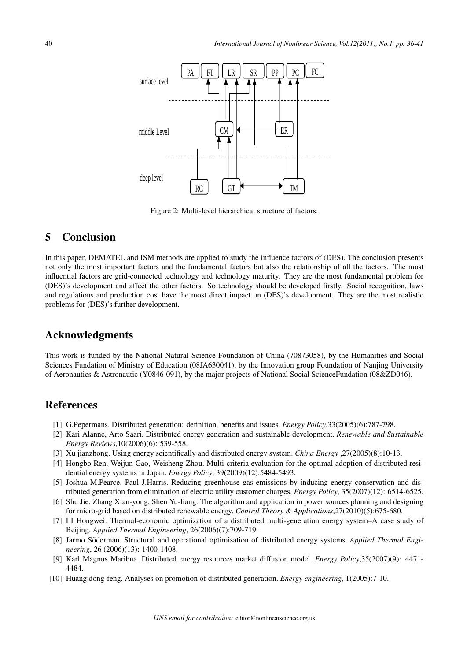

Figure 2: Multi-level hierarchical structure of factors.

## 5 Conclusion

In this paper, DEMATEL and ISM methods are applied to study the influence factors of (DES). The conclusion presents not only the most important factors and the fundamental factors but also the relationship of all the factors. The most influential factors are grid-connected technology and technology maturity. They are the most fundamental problem for (DES)'s development and affect the other factors. So technology should be developed firstly. Social recognition, laws and regulations and production cost have the most direct impact on (DES)'s development. They are the most realistic problems for (DES)'s further development.

### Acknowledgments

This work is funded by the National Natural Science Foundation of China (70873058), by the Humanities and Social Sciences Fundation of Ministry of Education (08JA630041), by the Innovation group Foundation of Nanjing University of Aeronautics & Astronautic (Y0846-091), by the major projects of National Social ScienceFundation (08&ZD046).

## **References**

- [1] G.Pepermans. Distributed generation: definition, benefits and issues. *Energy Policy*,33(2005)(6):787-798.
- [2] Kari Alanne, Arto Saari. Distributed energy generation and sustainable development. *Renewable and Sustainable Energy Reviews*,10(2006)(6): 539-558.
- [3] Xu jianzhong. Using energy scientifically and distributed energy system. *China Energy* ,27(2005)(8):10-13.
- [4] Hongbo Ren, Weijun Gao, Weisheng Zhou. Multi-criteria evaluation for the optimal adoption of distributed residential energy systems in Japan. *Energy Policy*, 39(2009)(12):5484-5493.
- [5] Joshua M.Pearce, Paul J.Harris. Reducing greenhouse gas emissions by inducing energy conservation and distributed generation from elimination of electric utility customer charges. *Energy Policy*, 35(2007)(12): 6514-6525.
- [6] Shu Jie, Zhang Xian-yong, Shen Yu-liang. The algorithm and application in power sources planning and designing for micro-grid based on distributed renewable energy. *Control Theory & Applications*,27(2010)(5):675-680.
- [7] LI Hongwei. Thermal-economic optimization of a distributed multi-generation energy system–A case study of Beijing. *Applied Thermal Engineering*, 26(2006)(7):709-719.
- [8] Jarmo Söderman. Structural and operational optimisation of distributed energy systems. *Applied Thermal Engineering*, 26 (2006)(13): 1400-1408.
- [9] Karl Magnus Maribua. Distributed energy resources market diffusion model. *Energy Policy*,35(2007)(9): 4471- 4484.
- [10] Huang dong-feng. Analyses on promotion of distributed generation. *Energy engineering*, 1(2005):7-10.